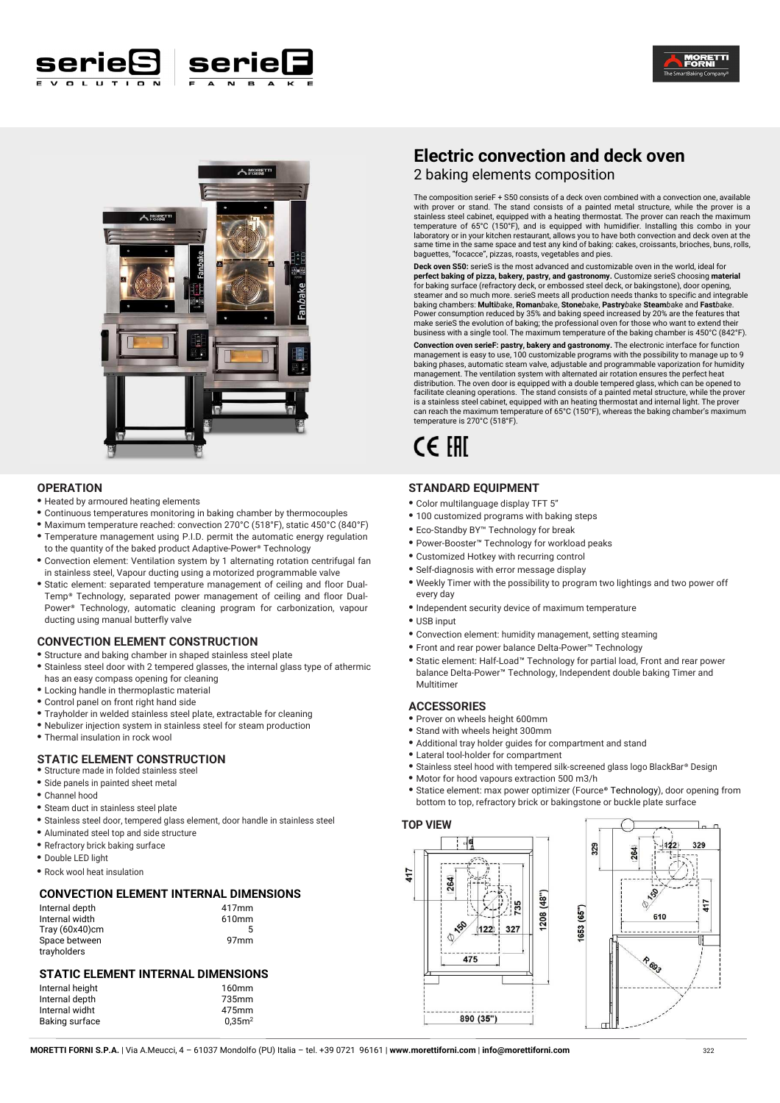





#### **OPERATION**

- **•** Heated by armoured heating elements
- **•** Continuous temperatures monitoring in baking chamber by thermocouples
- **•** Maximum temperature reached: convection 270°C (518°F), static 450°C (840°F) **•** Temperature management using P.I.D. permit the automatic energy regulation
- to the quantity of the baked product Adaptive-Power® Technology **•** Convection element: Ventilation system by 1 alternating rotation centrifugal fan
- in stainless steel, Vapour ducting using a motorized programmable valve **•** Static element: separated temperature management of ceiling and floor Dual-
- Temp® Technology, separated power management of ceiling and floor Dual-Power® Technology, automatic cleaning program for carbonization, vapour ducting using manual butterfly valve

#### **CONVECTION ELEMENT CONSTRUCTION**

**•** Structure and baking chamber in shaped stainless steel plate

- **•** Stainless steel door with 2 tempered glasses, the internal glass type of athermic has an easy compass opening for cleaning
- **•** Locking handle in thermoplastic material
- **•** Control panel on front right hand side
- **•** Trayholder in welded stainless steel plate, extractable for cleaning
- Nebulizer injection system in stainless steel for steam production
- **•** Thermal insulation in rock wool

#### **STATIC ELEMENT CONSTRUCTION**

- **•** Structure made in folded stainless steel
- **•** Side panels in painted sheet metal
- **•** Channel hood
- **•** Steam duct in stainless steel plate
- **•** Stainless steel door, tempered glass element, door handle in stainless steel
- **•** Aluminated steel top and side structure
- **•** Refractory brick baking surface
- **•** Double LED light

**•** Rock wool heat insulation

#### **CONVECTION ELEMENT INTERNAL DIMENSIONS**

| Internal depth    | 417 <sub>mm</sub> |
|-------------------|-------------------|
| Internal width    | 610mm             |
| Tray $(60x40)$ cm | 5                 |
| Space between     | 97 <sub>mm</sub>  |
| trayholders       |                   |

#### **STATIC ELEMENT INTERNAL DIMENSIONS**

| Internal height | 160mm              |
|-----------------|--------------------|
| Internal depth  | 735mm              |
| Internal widht  | 475mm              |
| Baking surface  | 0.35 <sup>m2</sup> |

# **Electric convection and deck oven**

2 baking elements composition

The composition serieF + S50 consists of a deck oven combined with a convection one, available with prover or stand. The stand consists of a painted metal structure, while the prover is a stainless steel cabinet, equipped with a heating thermostat. The prover can reach the maximum temperature of 65°C (150°F), and is equipped with humidifier. Installing this combo in your laboratory or in your kitchen restaurant, allows you to have both convection and deck oven at the same time in the same space and test any kind of baking: cakes, croissants, brioches, buns, rolls, baguettes, "focacce", pizzas, roasts, vegetables and pies.

**Deck oven S50:** serieS is the most advanced and customizable oven in the world, ideal for **perfect baking of pizza, bakery, pastry, and gastronomy.** Customize serieS choosing **material** for baking surface (refractory deck, or embossed steel deck, or bakingstone), door opening, steamer and so much more. serieS meets all production needs thanks to specific and integrable baking chambers: **Multi***b*ake, **Roman***b*ake, **Stone***b*ake, **Pastry***b*ake **Steam***b*ake and **Fast***b*ake. Power consumption reduced by 35% and baking speed increased by 20% are the features that make serieS the evolution of baking; the professional oven for those who want to extend their business with a single tool. The maximum temperature of the baking chamber is 450°C (842°F).

**Convection oven serieF: pastry, bakery and gastronomy.** The electronic interface for function management is easy to use, 100 customizable programs with the possibility to manage up to 9 baking phases, automatic steam valve, adjustable and programmable vaporization for humidity management. The ventilation system with alternated air rotation ensures the perfect heat distribution. The oven door is equipped with a double tempered glass, which can be opened to facilitate cleaning operations. The stand consists of a painted metal structure, while the prover is a stainless steel cabinet, equipped with an heating thermostat and internal light. The prover can reach the maximum temperature of 65°C (150°F), whereas the baking chamber's maximum temperature is 270°C (518°F).

# CE EHI

#### **STANDARD EQUIPMENT**

- **•** Color multilanguage display TFT 5"
- **•** 100 customized programs with baking steps
- **•** Eco-Standby BY™ Technology for break
- **•** Power-Booster™ Technology for workload peaks
- **•** Customized Hotkey with recurring control
- **•** Self-diagnosis with error message display
- **•** Weekly Timer with the possibility to program two lightings and two power off every day
- **•** Independent security device of maximum temperature
- **•** USB input
- **•** Convection element: humidity management, setting steaming
- **•** Front and rear power balance Delta-Power™ Technology
- **•** Static element: Half-Load™ Technology for partial load, Front and rear power balance Delta-Power™ Technology, Independent double baking Timer and Multitimer

#### **ACCESSORIES**

- **•** Prover on wheels height 600mm
- **•** Stand with wheels height 300mm
- **•** Additional tray holder guides for compartment and stand
- **•** Lateral tool-holder for compartment
- **•** Stainless steel hood with tempered silk-screened glass logo BlackBar® Design
- **•** Motor for hood vapours extraction 500 m3/h
- **•** Statice element: max power optimizer (Fource® Technology), door opening from bottom to top, refractory brick or bakingstone or buckle plate surface

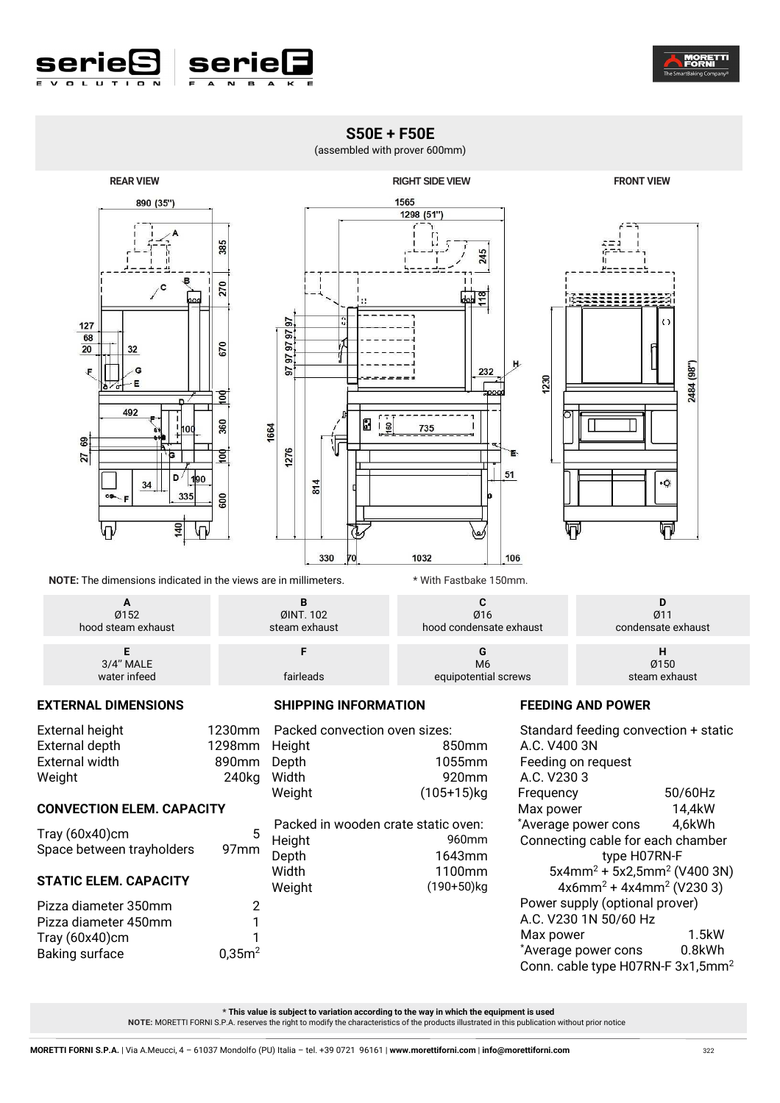



# **S50E + F50E**

## (assembled with prover 600mm)





**NOTE:** The dimensions indicated in the views are in millimeters. \* \* With Fastbake 150mm.

| Ø152               | ØINT. 102     | Ø16                     | 011                |
|--------------------|---------------|-------------------------|--------------------|
| hood steam exhaust | steam exhaust | hood condensate exhaust | condensate exhaust |
| 3/4" MALE          | fairleads     | M <sub>6</sub>          | Ø150               |
| water infeed       |               | equipotential screws    | steam exhaust      |

## **EXTERNAL DIMENSIONS**

| <b>External height</b> | 1230mm |
|------------------------|--------|
| External depth         | 1298mm |
| External width         | 890mm  |
| Weight                 | 240kg  |
|                        |        |

**CONVECTION ELEM. CAPACITY** 

Tray  $(60x40)$ cm 1<br>Baking surface  $0.35m^2$ 

**STATIC ELEM. CAPACITY** 

Baking surface

#### **SHIPPING INFORMATION**

Tray (60x40)cm 5 Space between trayholders 97mm Pizza diameter 350mm 2 Pizza diameter 450mm 1 Im Packed convection oven sizes: Height 850mm Depth 1055mm 920mm Weight (105+15)kg Packed in wooden crate static oven:<br>Height 960mm Height<br>Depth Depth 1643mm<br>Width 1100mm Width 1100mm<br>Weight (190+50)kg  $(190+50)$ kg

## **FEEDING AND POWER**

| Standard feeding convection + static          |         |  |
|-----------------------------------------------|---------|--|
| A.C. V400 3N                                  |         |  |
| Feeding on request                            |         |  |
| A.C. V2303                                    |         |  |
| Frequency                                     | 50/60Hz |  |
| Max power                                     | 14,4kW  |  |
| *Average power cons                           | 4,6kWh  |  |
| Connecting cable for each chamber             |         |  |
| type H07RN-F                                  |         |  |
| $5x4mm^2 + 5x2,5mm^2$ (V400 3N)               |         |  |
| $4x6mm^2 + 4x4mm^2$ (V230 3)                  |         |  |
| Power supply (optional prover)                |         |  |
| A.C. V230 1N 50/60 Hz                         |         |  |
| Max power                                     | 1.5kW   |  |
| *Average power cons                           | 0.8kWh  |  |
| Conn. cable type H07RN-F 3x1,5mm <sup>2</sup> |         |  |
|                                               |         |  |

**\* This value is subject to variation according to the way in which the equipment is used NOTE:** MORETTI FORNI S.P.A. reserves the right to modify the characteristics of the products illustrated in this publication without prior notice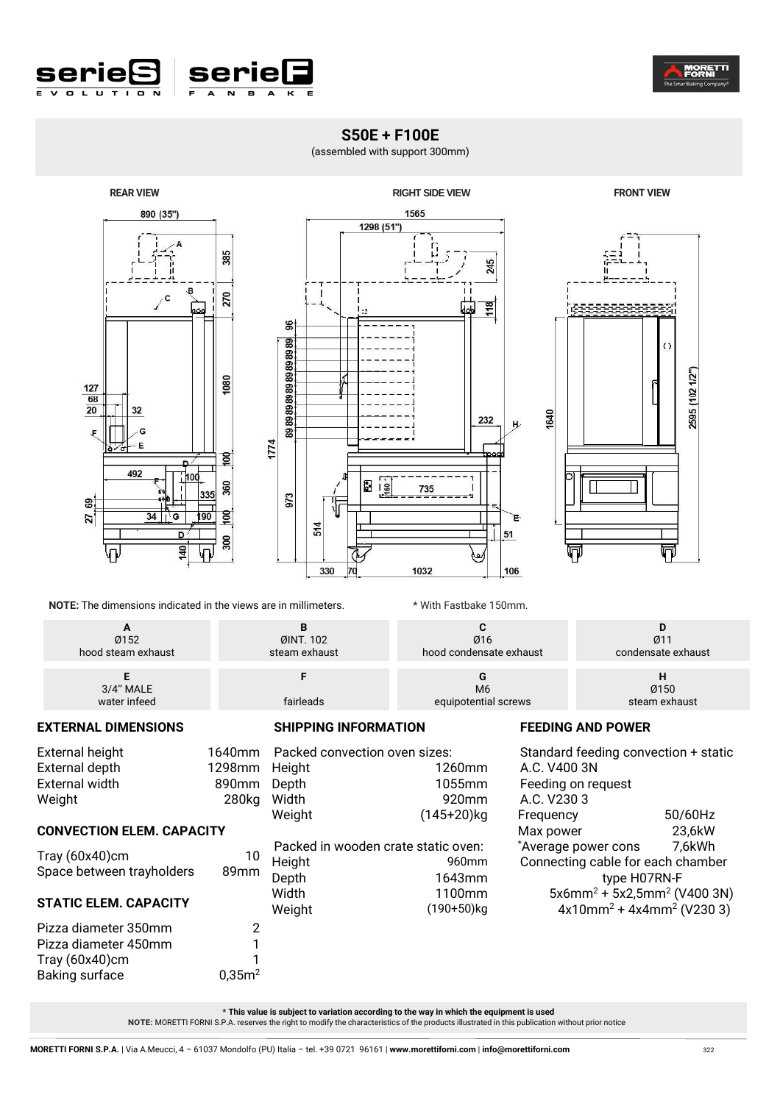

# **S50E + F100E**

(assembled with support 300mm)





**NOTE:** The dimensions indicated in the views are in millimeters. \* With Fastbake 150mm.

| Ø152               | ØINT. 102     | Ø16                     | Ø11                |
|--------------------|---------------|-------------------------|--------------------|
| hood steam exhaust | steam exhaust | hood condensate exhaust | condensate exhaust |
| 3/4" MALE          | fairleads     | M <sub>6</sub>          | Ø150               |
| water infeed       |               | equipotential screws    | steam exhaust      |

**EXTERNAL DIMENSIONS** 

Weight 280kg

Tray (60x40)cm 10 Space between trayholders 89mm

Pizza diameter 350mm 2 Pizza diameter 450mm 1 Tray (60x40)cm 1 Baking surface 0,35m<sup>2</sup>

**CONVECTION ELEM. CAPACITY** 

**STATIC ELEM. CAPACITY** 

External height

**SHIPPING INFORMATION** 

External depth 1298mm Height External width 890mm Depth 1640mm Packed convection oven sizes: 1260mm 1055mm Width 920mm Weight (145+20)kg Packed in wooden crate static oven:<br>Height 960mm Height<br>Depth 1643mm Width 1100mm Weight (190+50)kg

# **FEEDING AND POWER**

Standard feeding convection + static A.C. V400 3N Feeding on request A.C. V230 3 Frequency 50/60Hz Max power 23,6kW \*Average power cons 7,6kWh Connecting cable for each chamber type H07RN-F  $5x6$ mm $^{2}$  +  $5x2,5$ mm $^{2}$  (V400 3N)  $4x10mm^2 + 4x4mm^2$  (V230 3)

**\* This value is subject to variation according to the way in which the equipment is used** 

 **NOTE:** MORETTI FORNI S.P.A. reserves the right to modify the characteristics of the products illustrated in this publication without prior notice